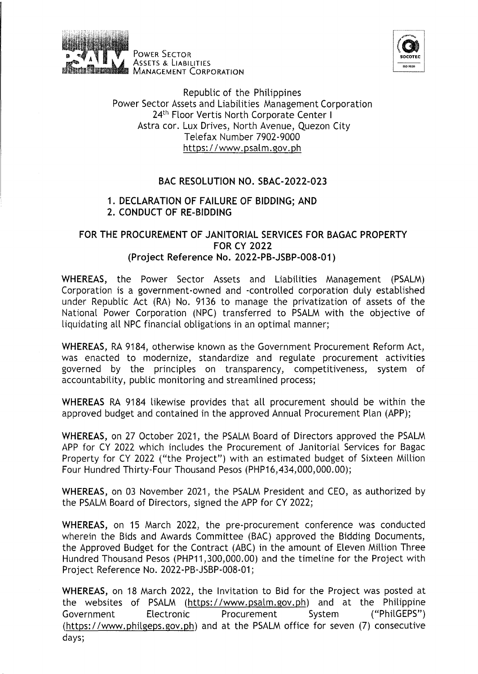

PowER SECTOR ASSETS & LIABILITIES **MANAGEMENT CORPORATION** 



Republic of the Philippines Power Sector Assets and Liabilities Management Corporation 24<sup>th</sup> Floor Vertis North Corporate Center I Astra cor. Lux Drives, North Avenue, Quezon City Telefax Number 7902-9000 https:/ /www.psalm.gov.ph

## BAC RESOLUTION NO. SBAC-2022-023

## 1. DECLARATION OF FAILURE OF BIDDING; AND 2. CONDUCT OF RE-BIDDING

## FOR THE PROCUREMENT OF JANITORIAL SERVICES FOR BAGAC PROPERTY FOR CY 2022 (Project Reference No. 2022-PB-JSBP-008-01)

WHEREAS, the Power Sector Assets and Liabilities Management (PSALM) Corporation is a government-owned and -controlled corporation duly established under Republic Act (RA) No. 9136 to manage the privatization of assets of the National Power Corporation (NPC) transferred to PSALM with the objective of liquidating all NPC financial obligations in an optimal manner;

WHEREAS, RA 9184, otherwise known as the Government Procurement Reform Act, was enacted to modernize, standardize and regulate procurement activities governed by the principles on transparency, competitiveness, system of accountability, public monitoring and streamlined process;

WHEREAS RA 9184 likewise provides that all procurement should be within the approved budget and contained in the approved Annual Procurement Plan (APP);

WHEREAS, on 27 October 2021, the PSALM Board of Directors approved the PSALM APP for CY 2022 which includes the Procurement of Janitorial Services for Bagac Property for CY 2022 ("the Project") with an estimated budget of Sixteen Million Four Hundred Thirty-Four Thousand Pesos (PHP16,434,000,000.00);

WHEREAS, on 03 November 2021, the PSALM President and CEO, as authorized by the PSALM Board of Directors, signed the APP for CY 2022;

WHEREAS, on 15 March 2022, the pre-procurement conference was conducted wherein the Bids and Awards Committee (BAC) approved the Bidding Documents, the Approved Budget for the Contract (ABC) in the amount of Eleven Million Three Hundred Thousand Pesos (PHP11 ,300,000.00) and the timeline for the Project with Project Reference No. 2022-PB-JSBP-008-01;

WHEREAS, on 18 March 2022, the Invitation to Bid for the Project was posted at the websites of PSALM (https:/ /www.psalm.gov.ph) and at the Philippine Government Electronic Procurement System ("PhilGEPS") (https://www.philgeps.gov.ph) and at the PSALM office for seven (7) consecutive days;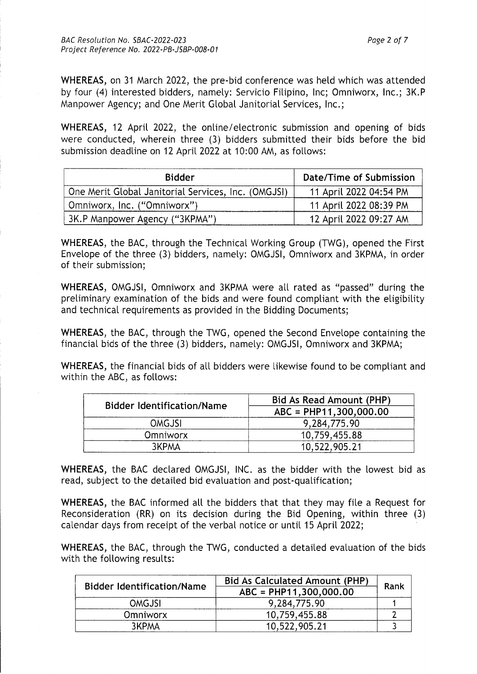**WHEREAS,** on 31 March 2022, the pre-bid conference was held which was attended by four (4) interested bidders, namely: Servicio Filipino, Inc; Omniworx, Inc.; 3K.P Manpower Agency; and One Merit Global Janitorial Services, Inc.;

**WHEREAS,** 12 April 2022, the online/ electronic submission and opening of bids were conducted, wherein three (3) bidders submitted their bids before the bid submission deadline on 12 April 2022 at 10:00 AM, as follows:

| <b>Bidder</b>                                       | Date/Time of Submission |
|-----------------------------------------------------|-------------------------|
| One Merit Global Janitorial Services, Inc. (OMGJSI) | 11 April 2022 04:54 PM  |
| Omniworx, Inc. ("Omniworx")                         | 11 April 2022 08:39 PM  |
| 3K.P Manpower Agency ("3KPMA")                      | 12 April 2022 09:27 AM  |

**WHEREAS,** the BAC, through the Technical Working Group (TWG), opened the First Envelope of the three (3) bidders, namely: OMGJSI, Omniworx and 3KPMA, in order of their submission;

**WHEREAS,** OMGJSI, Omniworx and 3KPMA were all rated as "passed" during the preliminary examination of the bids and were found compliant with the eligibility and technical requirements as provided in the Bidding Documents;

**WHEREAS,** the BAC, through the TWG, opened the Second Envelope containing the financial bids of the three (3) bidders, namely: OMGJSI, Omniworx and 3KPMA;

**WHEREAS,** the financial bids of all bidders were likewise found to be compliant and within the ABC, as follows:

| <b>Bidder Identification/Name</b> | Bid As Read Amount (PHP) |  |
|-----------------------------------|--------------------------|--|
|                                   | ABC = PHP11,300,000.00   |  |
| <b>OMGJSI</b>                     | 9,284,775.90             |  |
| <b>Omniworx</b>                   | 10,759,455.88            |  |
| 3KPMA                             | 10,522,905.21            |  |

**WHEREAS,** the BAC declared OMGJSI, INC. as the bidder with the lowest bid as read, subject to the detailed bid evaluation and post-qualification;

**WHEREAS,** the BAC informed all the bidders that that they may file a Request for Reconsideration (RR) on its decision during the Bid Opening, within three (3) calendar days from receipt of the verbal notice or until 15 April 2022;

**WHEREAS,** the BAC, through the TWG, conducted a detailed evaluation of the bids with the following results:

| <b>Bidder Identification/Name</b> | <b>Bid As Calculated Amount (PHP)</b><br>ABC = PHP11,300,000.00 | Rank |
|-----------------------------------|-----------------------------------------------------------------|------|
| <b>OMGJSI</b>                     | 9,284,775.90                                                    |      |
| <b>Omniworx</b>                   | 10,759,455.88                                                   |      |
| 3KPMA                             | 10,522,905.21                                                   |      |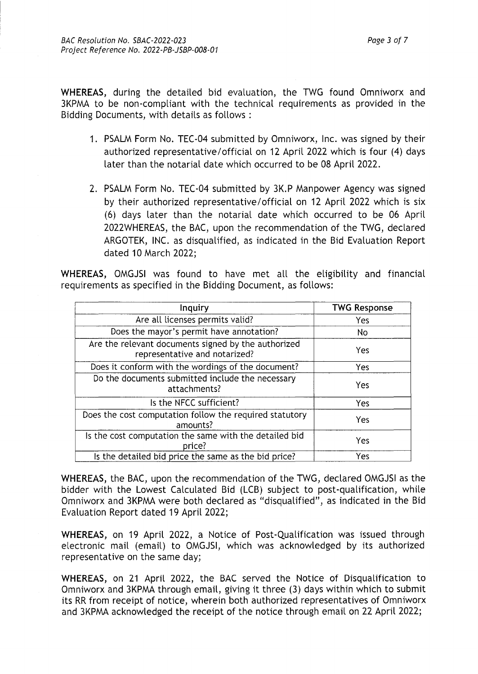WHEREAS, during the detailed bid evaluation, the TWG found Omniworx and 3KPMA to be non-compliant with the technical requirements as provided in the Bidding Documents, with details as follows :

- 1. PSALM Form No. TEC-04 submitted by Omniworx, Inc. was signed by their authorized representative/official on 12 April 2022 which is four (4) days later than the notarial date which occurred to be 08 April 2022.
- 2. PSALM Form No. TEC-04 submitted by 3K.P Manpower Agency was signed by their authorized representative/official on 12 April 2022 which is six (6) days later than the notarial date which occurred to be 06 April 2022WHEREAS, the BAC, upon the recommendation of the TWG, declared ARGOTEK, INC. as disqualified, as indicated in the Bid Evaluation Report dated 10 March 2022;

WHEREAS, OMGJSI was found to have met all the eligibility and financial requirements as specified in the Bidding Document, as follows:

| Inquiry                                                                              | <b>TWG Response</b> |
|--------------------------------------------------------------------------------------|---------------------|
| Are all licenses permits valid?                                                      | Yes                 |
| Does the mayor's permit have annotation?                                             | No                  |
| Are the relevant documents signed by the authorized<br>representative and notarized? | Yes                 |
| Does it conform with the wordings of the document?                                   | Yes                 |
| Do the documents submitted include the necessary<br>attachments?                     | Yes                 |
| Is the NFCC sufficient?                                                              | Yes                 |
| Does the cost computation follow the required statutory<br>amounts?                  | Yes                 |
| Is the cost computation the same with the detailed bid<br>price?                     | Yes                 |
| Is the detailed bid price the same as the bid price?                                 | Yes                 |

WHEREAS, the BAC, upon the recommendation of the TWG, declared OMGJSI as the bidder with the Lowest Calculated Bid (LCB) subject to post-qualification, while Omniworx and 3KPMA were both declared as "disqualified", as indicated in the Bid Evaluation Report dated 19 April 2022;

WHEREAS, on 19 April 2022, a Notice of Post-Qualification was issued through electronic mail (email) to OMGJSI, which was acknowledged by its authorized representative on the same day;

WHEREAS, on 21 April 2022, the BAC served the Notice of Disqualification to Omniworx and 3KPMA through email, giving it three (3) days within which to submit its RR from receipt of notice, wherein both authorized representatives of Omniworx and 3KPMA acknowledged the receipt of the notice through email on 22 April 2022;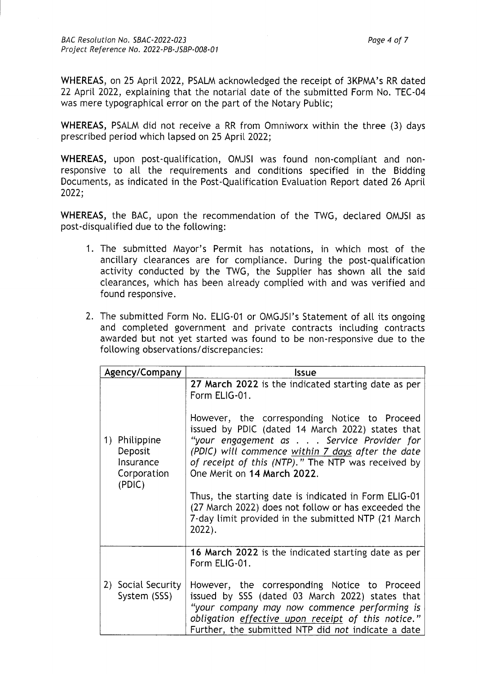WHEREAS, on 25 April 2022, PSALM acknowledged the receipt of 3KPMA's RR dated 22 April 2022, explaining that the notarial date of the submitted Form No. TEC-04

was mere typographical error on the part of the Notary Public;

WHEREAS, PSALM did not receive a RR from Omniworx within the three (3) days prescribed period which lapsed on 25 April 2022;

WHEREAS, upon post-qualification, OMJSI was found non-compliant and nonresponsive to all the requirements and conditions specified in the Bidding Documents, as indicated in the Post-Qualification Evaluation Report dated 26 April 2022;

WHEREAS, the BAC, upon the recommendation of the TWG, declared OMJSI as post-disqualified due to the following:

- 1. The submitted Mayor's Permit has notations, in which most of the ancillary clearances are for compliance. During the post-qualification activity conducted by the TWG, the Supplier has shown all the said clearances, which has been already complied with and was verified and found responsive.
- 2. The submitted Form No. ELIG-01 or OMGJSI's Statement of all its ongoing and completed government and private contracts including contracts awarded but not yet started was found to be non-responsive due to the following observations/ discrepancies:

| Agency/Company                                                    | Issue                                                                                                                                                                                                                                                                                                                                                                                                                                                                                                                                              |
|-------------------------------------------------------------------|----------------------------------------------------------------------------------------------------------------------------------------------------------------------------------------------------------------------------------------------------------------------------------------------------------------------------------------------------------------------------------------------------------------------------------------------------------------------------------------------------------------------------------------------------|
| Philippine<br>1)<br>Deposit<br>Insurance<br>Corporation<br>(PD C) | 27 March 2022 is the indicated starting date as per<br>Form ELIG-01.<br>However, the corresponding Notice to Proceed<br>issued by PDIC (dated 14 March 2022) states that<br>"your engagement as Service Provider for<br>(PDIC) will commence within 7 days after the date<br>of receipt of this (NTP)." The NTP was received by<br>One Merit on 14 March 2022.<br>Thus, the starting date is indicated in Form ELIG-01<br>(27 March 2022) does not follow or has exceeded the<br>7-day limit provided in the submitted NTP (21 March)<br>$2022$ ). |
| 2) Social Security<br>System (SSS)                                | 16 March 2022 is the indicated starting date as per<br>Form ELIG-01.<br>However, the corresponding Notice to Proceed<br>issued by SSS (dated 03 March 2022) states that<br>"your company may now commence performing is<br>obligation effective upon receipt of this notice."<br>Further, the submitted NTP did not indicate a date                                                                                                                                                                                                                |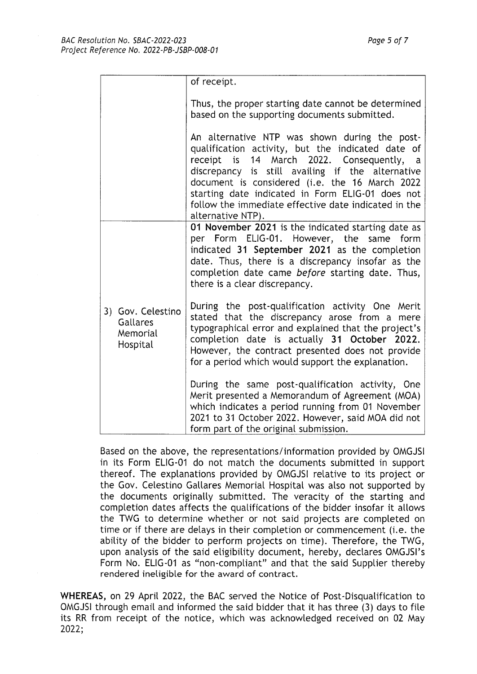|                                                       | of receipt.                                                                                                                                                                                                                                                                                                                                                                            |
|-------------------------------------------------------|----------------------------------------------------------------------------------------------------------------------------------------------------------------------------------------------------------------------------------------------------------------------------------------------------------------------------------------------------------------------------------------|
|                                                       | Thus, the proper starting date cannot be determined<br>based on the supporting documents submitted.                                                                                                                                                                                                                                                                                    |
|                                                       | An alternative NTP was shown during the post-<br>qualification activity, but the indicated date of<br>receipt is 14 March 2022. Consequently, a<br>discrepancy is still availing if the alternative<br>document is considered (i.e. the 16 March 2022<br>starting date indicated in Form ELIG-01 does not<br>follow the immediate effective date indicated in the<br>alternative NTP). |
|                                                       | 01 November 2021 is the indicated starting date as<br>per Form ELIG-01. However, the same<br>form<br>indicated 31 September 2021 as the completion<br>date. Thus, there is a discrepancy insofar as the<br>completion date came before starting date. Thus,<br>there is a clear discrepancy.                                                                                           |
| 3) Gov. Celestino<br>Gallares<br>Memorial<br>Hospital | During the post-qualification activity One Merit<br>stated that the discrepancy arose from a mere<br>typographical error and explained that the project's<br>completion date is actually 31 October 2022.<br>However, the contract presented does not provide<br>for a period which would support the explanation.                                                                     |
|                                                       | During the same post-qualification activity, One<br>Merit presented a Memorandum of Agreement (MOA)<br>which indicates a period running from 01 November<br>2021 to 31 October 2022. However, said MOA did not<br>form part of the original submission.                                                                                                                                |

Based on the above, the representations/information provided by OMGJSI in its Form ELIG-01 do not match the documents submitted in support thereof. The explanations provided by OMGJSI relative to its project or the Gov. Celestino Gallares Memorial Hospital was also not supported by the documents originally submitted. The veracity of the starting and completion dates affects the qualifications of the bidder insofar it allows the TWG to determine whether or not said projects are completed on time or if there are delays in their completion or commencement (i.e. the ability of the bidder to perform projects on time). Therefore, the TWG, upon analysis of the said eligibility document, hereby, declares OMGJSI's Form No. ELIG-01 as "non-compliant" and that the said Supplier thereby rendered ineligible for the award of contract.

**WHEREAS,** on 29 April 2022, the BAC served the Notice of Post-Disqualification to OMGJSI through email and informed the said bidder that it has three (3) days to file its RR from receipt of the notice, which was acknowledged received on 02 May 2022;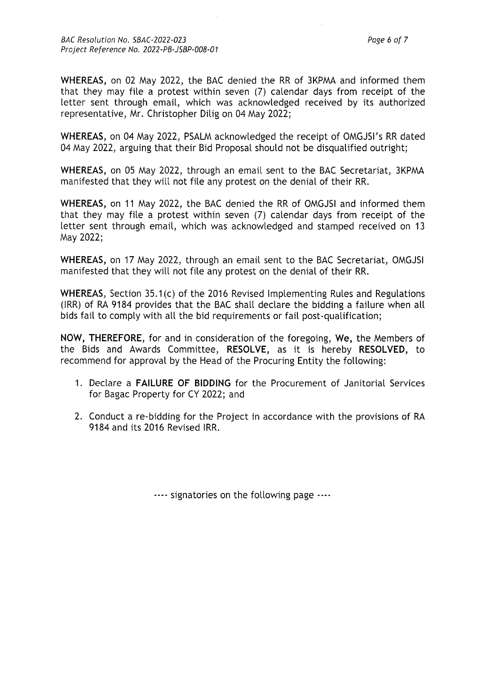BAC Resolution No. SBAC-2022-023 Page 6 of 7 Project Reference No. 2022-PB-JSBP-008-01

**WHEREAS,** on 02 May 2022, the BAC denied the RR of 3KPMA and informed them that they may file a protest within seven (7) calendar days from receipt of the letter sent through email, which was acknowledged received by its authorized representative, Mr. Christopher Dilig on 04 May 2022;

**WHEREAS,** on 04 May 2022, PSALM acknowledged the receipt of OMGJSI's RR dated 04 May 2022, arguing that their Bid Proposal should not be disqualified outright;

**WHEREAS,** on 05 May 2022, through an email sent to the BAC Secretariat, 3KPMA manifested that they will not file any protest on the denial of their RR.

**WHEREAS,** on 11 May 2022, the BAC denied the RR of OMGJSI and informed them that they may file a protest within seven (7) calendar days from receipt of the letter sent through email, which was acknowledged and stamped received on 13 May 2022;

**WHEREAS,** on 17 May 2022, through an email sent to the BAC Secretariat, OMGJSI manifested that they will not file any protest on the denial of their RR.

**WHEREAS,** Section 35.1 (c) of the 2016 Revised Implementing Rules and Regulations (IRR) of RA 9184 provides that the BAC shall declare the bidding a failure when all bids fail to comply with all the bid requirements or fail post-qualification;

**NOW, THEREFORE,** for and in consideration of the foregoing, **We,** the Members of the Bids and Awards Committee, **RESOLVE,** as it is hereby **RESOLVED,** to recommend for approval by the Head of the Procuring Entity the following:

- 1. Declare a **FAILURE OF BIDDING** for the Procurement of Janitorial Services for Bagac Property for CY 2022; and
- 2. Conduct a re-bidding for the Project in accordance with the provisions of RA 9184 and its 2016 Revised IRR.

---- signatories on the following page ----